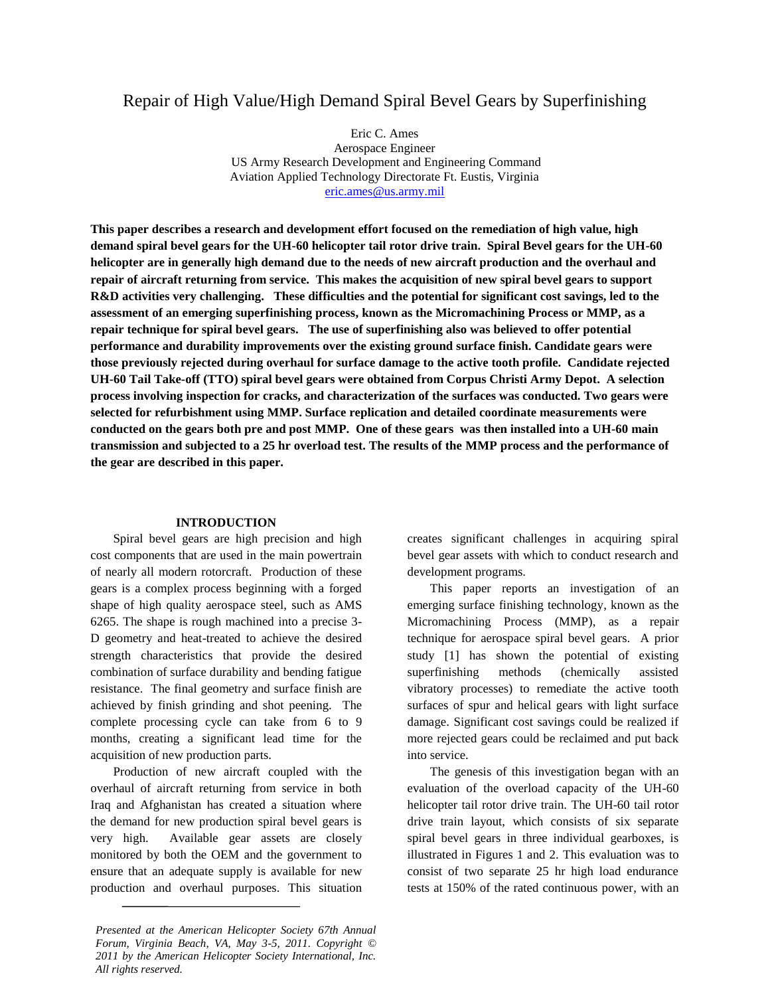# Repair of High Value/High Demand Spiral Bevel Gears by Superfinishing

Eric C. Ames Aerospace Engineer US Army Research Development and Engineering Command Aviation Applied Technology Directorate Ft. Eustis, Virginia [eric.ames@us.army.mil](mailto:eric.ames@us.army.mil)

**This paper describes a research and development effort focused on the remediation of high value, high demand spiral bevel gears for the UH-60 helicopter tail rotor drive train. Spiral Bevel gears for the UH-60 helicopter are in generally high demand due to the needs of new aircraft production and the overhaul and repair of aircraft returning from service. This makes the acquisition of new spiral bevel gears to support R&D activities very challenging. These difficulties and the potential for significant cost savings, led to the assessment of an emerging superfinishing process, known as the Micromachining Process or MMP, as a repair technique for spiral bevel gears. The use of superfinishing also was believed to offer potential performance and durability improvements over the existing ground surface finish. Candidate gears were those previously rejected during overhaul for surface damage to the active tooth profile. Candidate rejected UH-60 Tail Take-off (TTO) spiral bevel gears were obtained from Corpus Christi Army Depot. A selection process involving inspection for cracks, and characterization of the surfaces was conducted. Two gears were selected for refurbishment using MMP. Surface replication and detailed coordinate measurements were conducted on the gears both pre and post MMP. One of these gears was then installed into a UH-60 main transmission and subjected to a 25 hr overload test. The results of the MMP process and the performance of the gear are described in this paper.**

#### **INTRODUCTION**

Spiral bevel gears are high precision and high cost components that are used in the main powertrain of nearly all modern rotorcraft. Production of these gears is a complex process beginning with a forged shape of high quality aerospace steel, such as AMS 6265. The shape is rough machined into a precise 3- D geometry and heat-treated to achieve the desired strength characteristics that provide the desired combination of surface durability and bending fatigue resistance. The final geometry and surface finish are achieved by finish grinding and shot peening. The complete processing cycle can take from 6 to 9 months, creating a significant lead time for the acquisition of new production parts.

Production of new aircraft coupled with the overhaul of aircraft returning from service in both Iraq and Afghanistan has created a situation where the demand for new production spiral bevel gears is very high. Available gear assets are closely monitored by both the OEM and the government to ensure that an adequate supply is available for new production and overhaul purposes. This situation creates significant challenges in acquiring spiral bevel gear assets with which to conduct research and development programs.

This paper reports an investigation of an emerging surface finishing technology, known as the Micromachining Process (MMP), as a repair technique for aerospace spiral bevel gears. A prior study [1] has shown the potential of existing superfinishing methods (chemically assisted vibratory processes) to remediate the active tooth surfaces of spur and helical gears with light surface damage. Significant cost savings could be realized if more rejected gears could be reclaimed and put back into service.

The genesis of this investigation began with an evaluation of the overload capacity of the UH-60 helicopter tail rotor drive train. The UH-60 tail rotor drive train layout, which consists of six separate spiral bevel gears in three individual gearboxes, is illustrated in Figures 1 and 2. This evaluation was to consist of two separate 25 hr high load endurance tests at 150% of the rated continuous power, with an

*Presented at the American Helicopter Society 67th Annual Forum, Virginia Beach, VA, May 3-5, 2011. Copyright © 2011 by the American Helicopter Society International, Inc. All rights reserved.*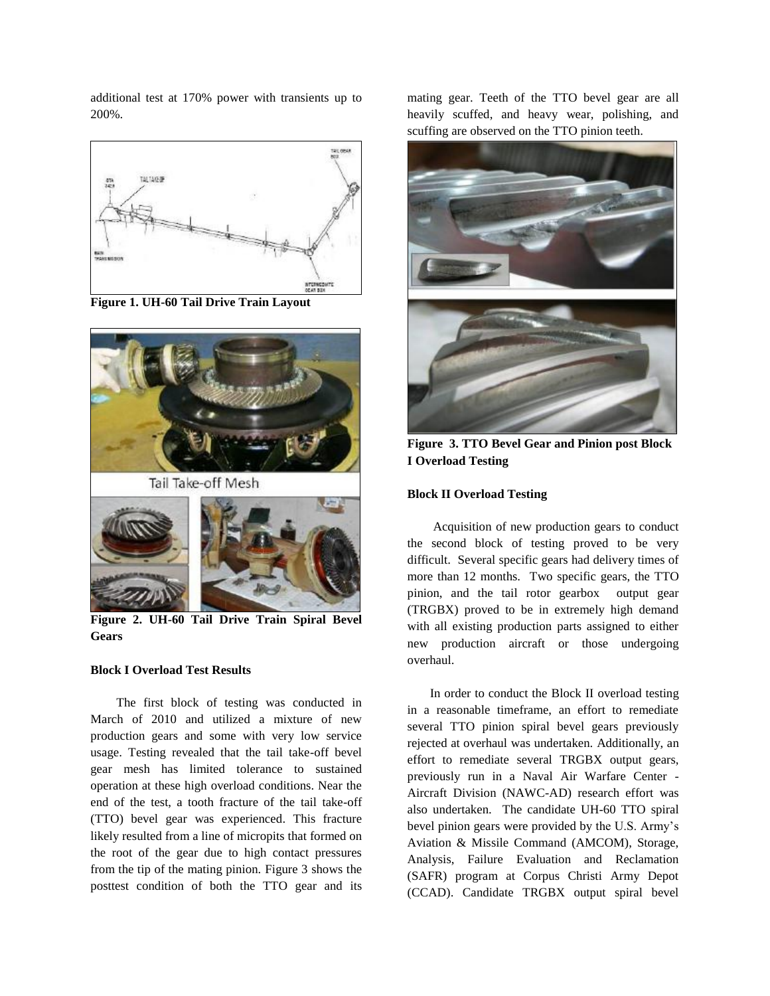additional test at 170% power with transients up to 200%.



**Figure 1. UH-60 Tail Drive Train Layout**



**Figure 2. UH-60 Tail Drive Train Spiral Bevel Gears**

## **Block I Overload Test Results**

The first block of testing was conducted in March of 2010 and utilized a mixture of new production gears and some with very low service usage. Testing revealed that the tail take-off bevel gear mesh has limited tolerance to sustained operation at these high overload conditions. Near the end of the test, a tooth fracture of the tail take-off (TTO) bevel gear was experienced. This fracture likely resulted from a line of micropits that formed on the root of the gear due to high contact pressures from the tip of the mating pinion. Figure 3 shows the posttest condition of both the TTO gear and its mating gear. Teeth of the TTO bevel gear are all heavily scuffed, and heavy wear, polishing, and scuffing are observed on the TTO pinion teeth.



**Figure 3. TTO Bevel Gear and Pinion post Block I Overload Testing**

## **Block II Overload Testing**

Acquisition of new production gears to conduct the second block of testing proved to be very difficult. Several specific gears had delivery times of more than 12 months. Two specific gears, the TTO pinion, and the tail rotor gearbox output gear (TRGBX) proved to be in extremely high demand with all existing production parts assigned to either new production aircraft or those undergoing overhaul.

In order to conduct the Block II overload testing in a reasonable timeframe, an effort to remediate several TTO pinion spiral bevel gears previously rejected at overhaul was undertaken. Additionally, an effort to remediate several TRGBX output gears, previously run in a Naval Air Warfare Center - Aircraft Division (NAWC-AD) research effort was also undertaken. The candidate UH-60 TTO spiral bevel pinion gears were provided by the U.S. Army's Aviation & Missile Command (AMCOM), Storage, Analysis, Failure Evaluation and Reclamation (SAFR) program at Corpus Christi Army Depot (CCAD). Candidate TRGBX output spiral bevel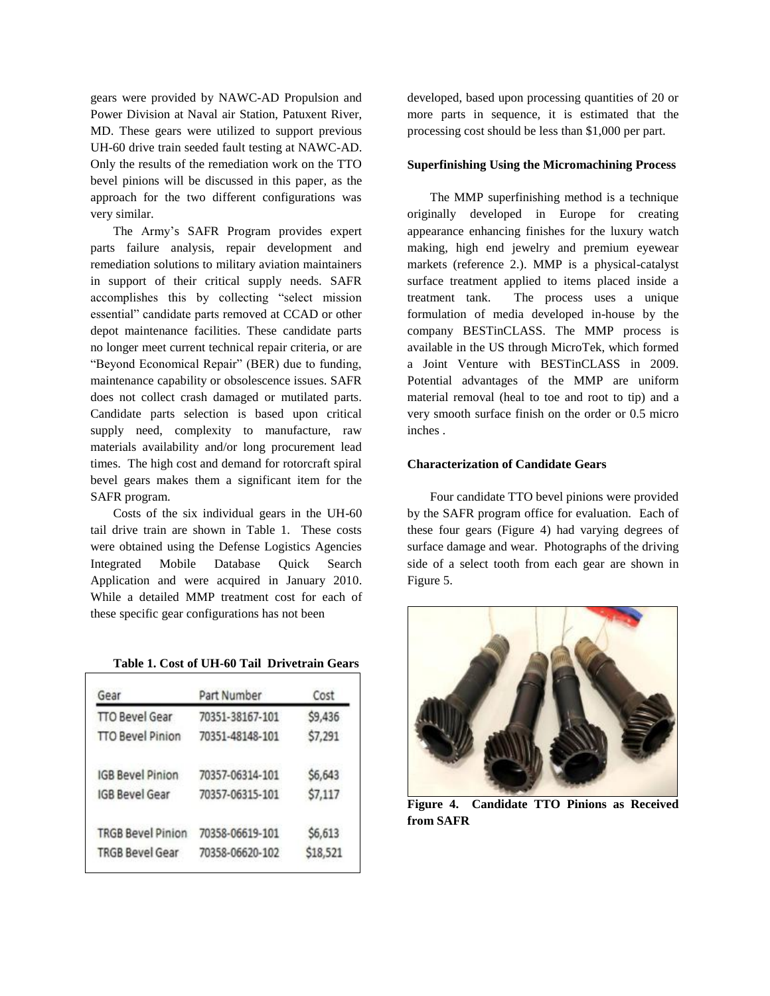gears were provided by NAWC-AD Propulsion and Power Division at Naval air Station, Patuxent River, MD. These gears were utilized to support previous UH-60 drive train seeded fault testing at NAWC-AD. Only the results of the remediation work on the TTO bevel pinions will be discussed in this paper, as the approach for the two different configurations was very similar.

The Army's SAFR Program provides expert parts failure analysis, repair development and remediation solutions to military aviation maintainers in support of their critical supply needs. SAFR accomplishes this by collecting "select mission essential" candidate parts removed at CCAD or other depot maintenance facilities. These candidate parts no longer meet current technical repair criteria, or are "Beyond Economical Repair" (BER) due to funding, maintenance capability or obsolescence issues. SAFR does not collect crash damaged or mutilated parts. Candidate parts selection is based upon critical supply need, complexity to manufacture, raw materials availability and/or long procurement lead times. The high cost and demand for rotorcraft spiral bevel gears makes them a significant item for the SAFR program.

Costs of the six individual gears in the UH-60 tail drive train are shown in Table 1. These costs were obtained using the Defense Logistics Agencies Integrated Mobile Database Quick Search Application and were acquired in January 2010. While a detailed MMP treatment cost for each of these specific gear configurations has not been

**Table 1. Cost of UH-60 Tail Drivetrain Gears**

| Gear                     | Part Number     | Cost     |
|--------------------------|-----------------|----------|
| <b>TTO Bevel Gear</b>    | 70351-38167-101 | \$9,436  |
| <b>TTO Bevel Pinion</b>  | 70351-48148-101 | \$7,291  |
| <b>IGB Bevel Pinion</b>  | 70357-06314-101 | \$6,643  |
| <b>IGB Bevel Gear</b>    | 70357-06315-101 | \$7,117  |
| <b>TRGB Bevel Pinion</b> | 70358-06619-101 | \$6,613  |
| <b>TRGB Bevel Gear</b>   | 70358-06620-102 | \$18,521 |

developed, based upon processing quantities of 20 or more parts in sequence, it is estimated that the processing cost should be less than \$1,000 per part.

### **Superfinishing Using the Micromachining Process**

The MMP superfinishing method is a technique originally developed in Europe for creating appearance enhancing finishes for the luxury watch making, high end jewelry and premium eyewear markets (reference 2.). MMP is a physical-catalyst surface treatment applied to items placed inside a treatment tank. The process uses a unique formulation of media developed in-house by the company BESTinCLASS. The MMP process is available in the US through MicroTek, which formed a Joint Venture with BESTinCLASS in 2009. Potential advantages of the MMP are uniform material removal (heal to toe and root to tip) and a very smooth surface finish on the order or 0.5 micro inches .

# **Characterization of Candidate Gears**

Four candidate TTO bevel pinions were provided by the SAFR program office for evaluation. Each of these four gears (Figure 4) had varying degrees of surface damage and wear. Photographs of the driving side of a select tooth from each gear are shown in Figure 5.



**Figure 4. Candidate TTO Pinions as Received from SAFR**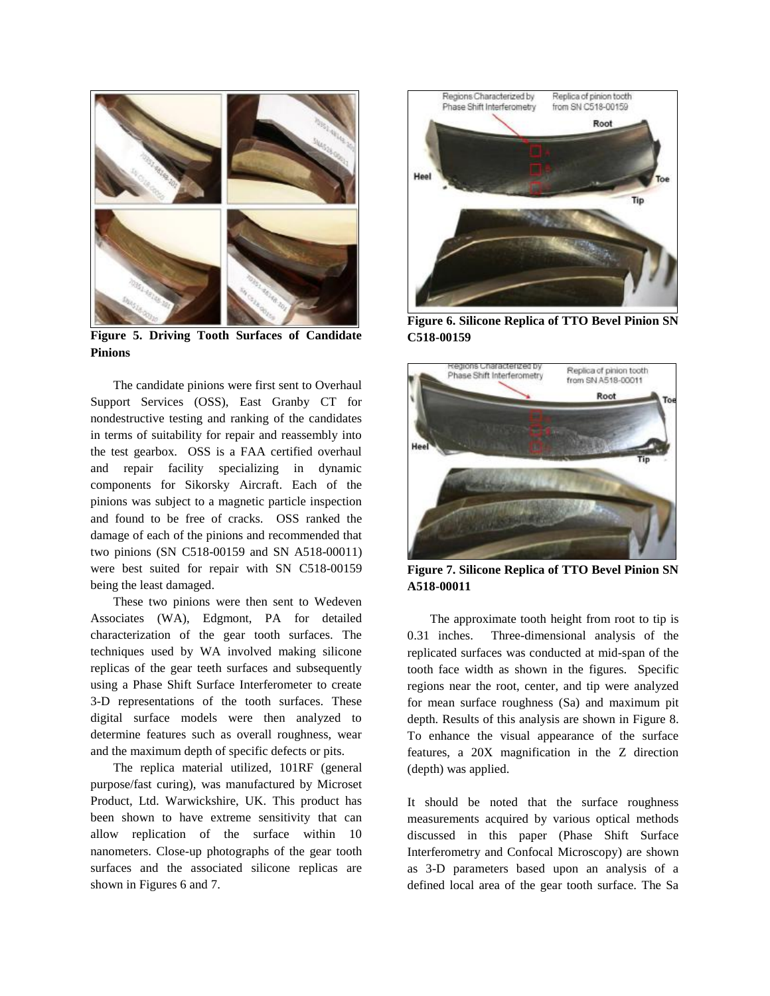

**Figure 5. Driving Tooth Surfaces of Candidate Pinions**

The candidate pinions were first sent to Overhaul Support Services (OSS), East Granby CT for nondestructive testing and ranking of the candidates in terms of suitability for repair and reassembly into the test gearbox. OSS is a FAA certified overhaul and repair facility specializing in dynamic components for Sikorsky Aircraft. Each of the pinions was subject to a magnetic particle inspection and found to be free of cracks. OSS ranked the damage of each of the pinions and recommended that two pinions (SN C518-00159 and SN A518-00011) were best suited for repair with SN C518-00159 being the least damaged.

These two pinions were then sent to Wedeven Associates (WA), Edgmont, PA for detailed characterization of the gear tooth surfaces. The techniques used by WA involved making silicone replicas of the gear teeth surfaces and subsequently using a Phase Shift Surface Interferometer to create 3-D representations of the tooth surfaces. These digital surface models were then analyzed to determine features such as overall roughness, wear and the maximum depth of specific defects or pits.

The replica material utilized, 101RF (general purpose/fast curing), was manufactured by Microset Product, Ltd. Warwickshire, UK. This product has been shown to have extreme sensitivity that can allow replication of the surface within 10 nanometers. Close-up photographs of the gear tooth surfaces and the associated silicone replicas are shown in Figures 6 and 7.



**Figure 6. Silicone Replica of TTO Bevel Pinion SN C518-00159**



**Figure 7. Silicone Replica of TTO Bevel Pinion SN A518-00011**

The approximate tooth height from root to tip is 0.31 inches. Three-dimensional analysis of the replicated surfaces was conducted at mid-span of the tooth face width as shown in the figures. Specific regions near the root, center, and tip were analyzed for mean surface roughness (Sa) and maximum pit depth. Results of this analysis are shown in Figure 8. To enhance the visual appearance of the surface features, a 20X magnification in the Z direction (depth) was applied.

It should be noted that the surface roughness measurements acquired by various optical methods discussed in this paper (Phase Shift Surface Interferometry and Confocal Microscopy) are shown as 3-D parameters based upon an analysis of a defined local area of the gear tooth surface. The Sa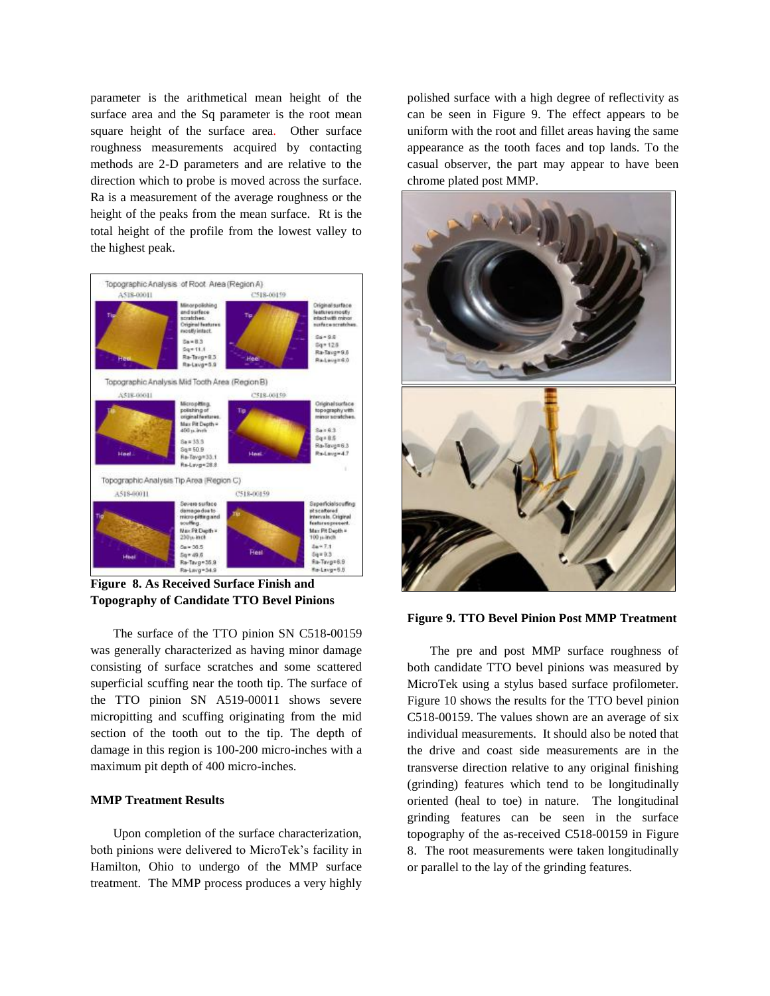parameter is the arithmetical mean height of the surface area and the Sq parameter is the root mean square height of the surface area. Other surface roughness measurements acquired by contacting methods are 2-D parameters and are relative to the direction which to probe is moved across the surface. Ra is a measurement of the average roughness or the height of the peaks from the mean surface. Rt is the total height of the profile from the lowest valley to the highest peak.



**Figure 8. As Received Surface Finish and Topography of Candidate TTO Bevel Pinions**

The surface of the TTO pinion SN C518-00159 was generally characterized as having minor damage consisting of surface scratches and some scattered superficial scuffing near the tooth tip. The surface of the TTO pinion SN A519-00011 shows severe micropitting and scuffing originating from the mid section of the tooth out to the tip. The depth of damage in this region is 100-200 micro-inches with a maximum pit depth of 400 micro-inches.

### **MMP Treatment Results**

Upon completion of the surface characterization, both pinions were delivered to MicroTek's facility in Hamilton, Ohio to undergo of the MMP surface treatment. The MMP process produces a very highly

polished surface with a high degree of reflectivity as can be seen in Figure 9. The effect appears to be uniform with the root and fillet areas having the same appearance as the tooth faces and top lands. To the casual observer, the part may appear to have been chrome plated post MMP.



#### **Figure 9. TTO Bevel Pinion Post MMP Treatment**

The pre and post MMP surface roughness of both candidate TTO bevel pinions was measured by MicroTek using a stylus based surface profilometer. Figure 10 shows the results for the TTO bevel pinion C518-00159. The values shown are an average of six individual measurements. It should also be noted that the drive and coast side measurements are in the transverse direction relative to any original finishing (grinding) features which tend to be longitudinally oriented (heal to toe) in nature. The longitudinal grinding features can be seen in the surface topography of the as-received C518-00159 in Figure 8. The root measurements were taken longitudinally or parallel to the lay of the grinding features.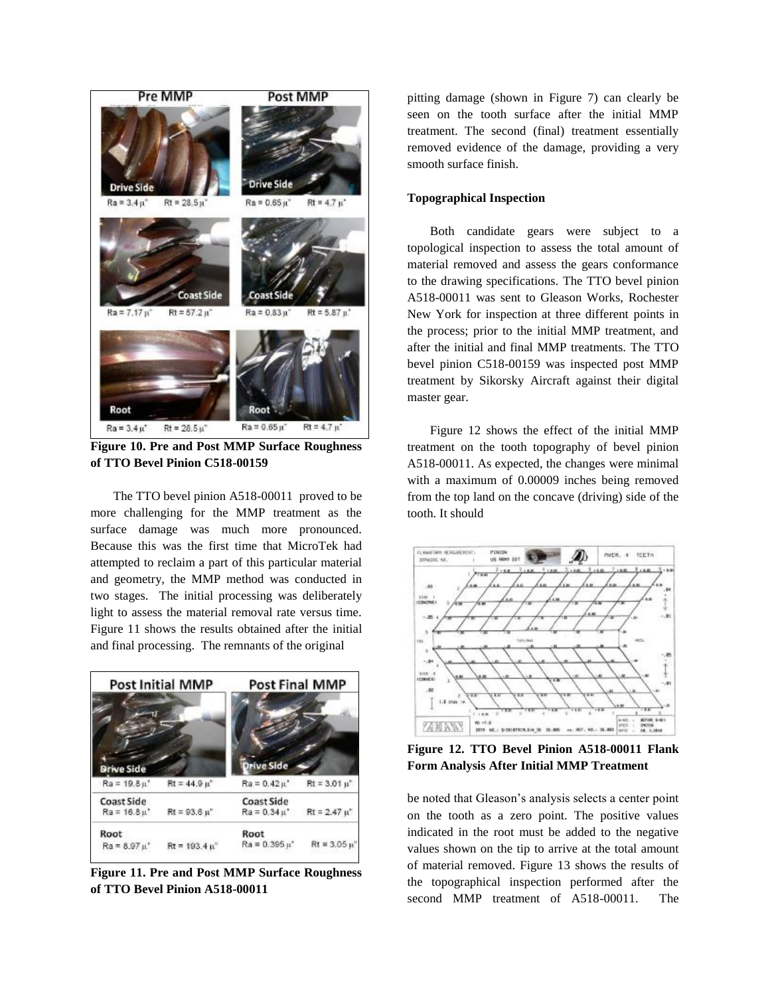

**Figure 10. Pre and Post MMP Surface Roughness of TTO Bevel Pinion C518-00159**

The TTO bevel pinion A518-00011 proved to be more challenging for the MMP treatment as the surface damage was much more pronounced. Because this was the first time that MicroTek had attempted to reclaim a part of this particular material and geometry, the MMP method was conducted in two stages. The initial processing was deliberately light to assess the material removal rate versus time. Figure 11 shows the results obtained after the initial and final processing. The remnants of the original



**Figure 11. Pre and Post MMP Surface Roughness of TTO Bevel Pinion A518-00011**

pitting damage (shown in Figure 7) can clearly be seen on the tooth surface after the initial MMP treatment. The second (final) treatment essentially removed evidence of the damage, providing a very smooth surface finish.

## **Topographical Inspection**

Both candidate gears were subject to a topological inspection to assess the total amount of material removed and assess the gears conformance to the drawing specifications. The TTO bevel pinion A518-00011 was sent to Gleason Works, Rochester New York for inspection at three different points in the process; prior to the initial MMP treatment, and after the initial and final MMP treatments. The TTO bevel pinion C518-00159 was inspected post MMP treatment by Sikorsky Aircraft against their digital master gear.

Figure 12 shows the effect of the initial MMP treatment on the tooth topography of bevel pinion A518-00011. As expected, the changes were minimal with a maximum of 0.00009 inches being removed from the top land on the concave (driving) side of the tooth. It should



**Figure 12. TTO Bevel Pinion A518-00011 Flank Form Analysis After Initial MMP Treatment**

be noted that Gleason's analysis selects a center point on the tooth as a zero point. The positive values indicated in the root must be added to the negative values shown on the tip to arrive at the total amount of material removed. Figure 13 shows the results of the topographical inspection performed after the second MMP treatment of A518-00011. The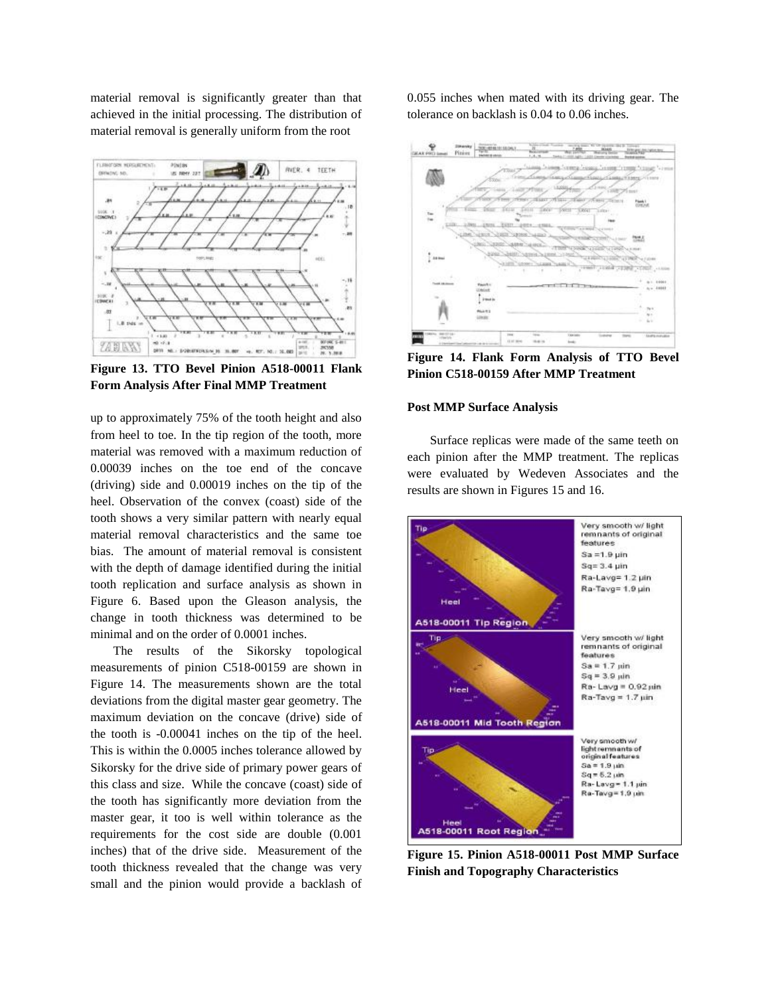material removal is significantly greater than that achieved in the initial processing. The distribution of material removal is generally uniform from the root



**Figure 13. TTO Bevel Pinion A518-00011 Flank Form Analysis After Final MMP Treatment**

up to approximately 75% of the tooth height and also from heel to toe. In the tip region of the tooth, more material was removed with a maximum reduction of 0.00039 inches on the toe end of the concave (driving) side and 0.00019 inches on the tip of the heel. Observation of the convex (coast) side of the tooth shows a very similar pattern with nearly equal material removal characteristics and the same toe bias. The amount of material removal is consistent with the depth of damage identified during the initial tooth replication and surface analysis as shown in Figure 6. Based upon the Gleason analysis, the change in tooth thickness was determined to be minimal and on the order of 0.0001 inches.

The results of the Sikorsky topological measurements of pinion C518-00159 are shown in Figure 14. The measurements shown are the total deviations from the digital master gear geometry. The maximum deviation on the concave (drive) side of the tooth is -0.00041 inches on the tip of the heel. This is within the 0.0005 inches tolerance allowed by Sikorsky for the drive side of primary power gears of this class and size. While the concave (coast) side of the tooth has significantly more deviation from the master gear, it too is well within tolerance as the requirements for the cost side are double (0.001 inches) that of the drive side. Measurement of the tooth thickness revealed that the change was very small and the pinion would provide a backlash of 0.055 inches when mated with its driving gear. The tolerance on backlash is 0.04 to 0.06 inches.



**Figure 14. Flank Form Analysis of TTO Bevel Pinion C518-00159 After MMP Treatment**

#### **Post MMP Surface Analysis**

Surface replicas were made of the same teeth on each pinion after the MMP treatment. The replicas were evaluated by Wedeven Associates and the results are shown in Figures 15 and 16.



**Figure 15. Pinion A518-00011 Post MMP Surface Finish and Topography Characteristics**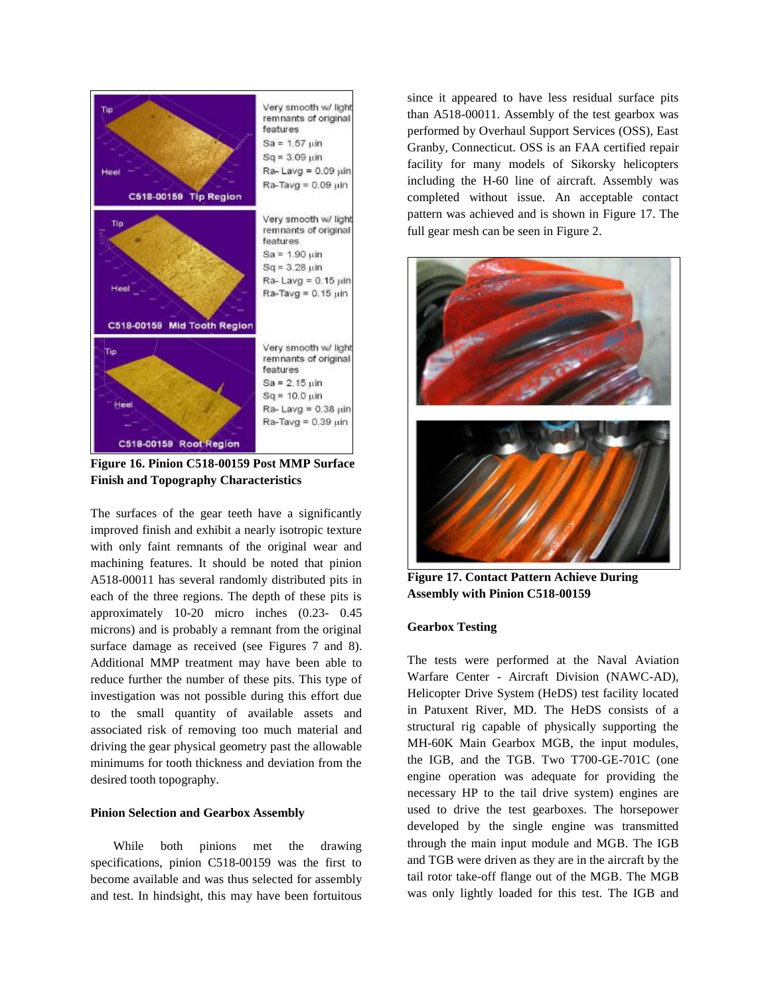

**Figure 16. Pinion C518-00159 Post MMP Surface Finish and Topography Characteristics**

The surfaces of the gear teeth have a significantly improved finish and exhibit a nearly isotropic texture with only faint remnants of the original wear and machining features. It should be noted that pinion A518-00011 has several randomly distributed pits in each of the three regions. The depth of these pits is approximately 10-20 micro inches (0.23- 0.45 microns) and is probably a remnant from the original surface damage as received (see Figures 7 and 8). Additional MMP treatment may have been able to reduce further the number of these pits. This type of investigation was not possible during this effort due to the small quantity of available assets and associated risk of removing too much material and driving the gear physical geometry past the allowable minimums for tooth thickness and deviation from the desired tooth topography.

### **Pinion Selection and Gearbox Assembly**

While both pinions met the drawing specifications, pinion C518-00159 was the first to become available and was thus selected for assembly and test. In hindsight, this may have been fortuitous since it appeared to have less residual surface pits than A518-00011. Assembly of the test gearbox was performed by Overhaul Support Services (OSS), East Granby, Connecticut. OSS is an FAA certified repair facility for many models of Sikorsky helicopters including the H-60 line of aircraft. Assembly was completed without issue. An acceptable contact pattern was achieved and is shown in Figure 17. The full gear mesh can be seen in Figure 2.



**Figure 17. Contact Pattern Achieve During Assembly with Pinion C518-00159**

## **Gearbox Testing**

The tests were performed at the Naval Aviation Warfare Center - Aircraft Division (NAWC-AD), Helicopter Drive System (HeDS) test facility located in Patuxent River, MD. The HeDS consists of a structural rig capable of physically supporting the MH-60K Main Gearbox MGB, the input modules, the IGB, and the TGB. Two T700-GE-701C (one engine operation was adequate for providing the necessary HP to the tail drive system) engines are used to drive the test gearboxes. The horsepower developed by the single engine was transmitted through the main input module and MGB. The IGB and TGB were driven as they are in the aircraft by the tail rotor take-off flange out of the MGB. The MGB was only lightly loaded for this test. The IGB and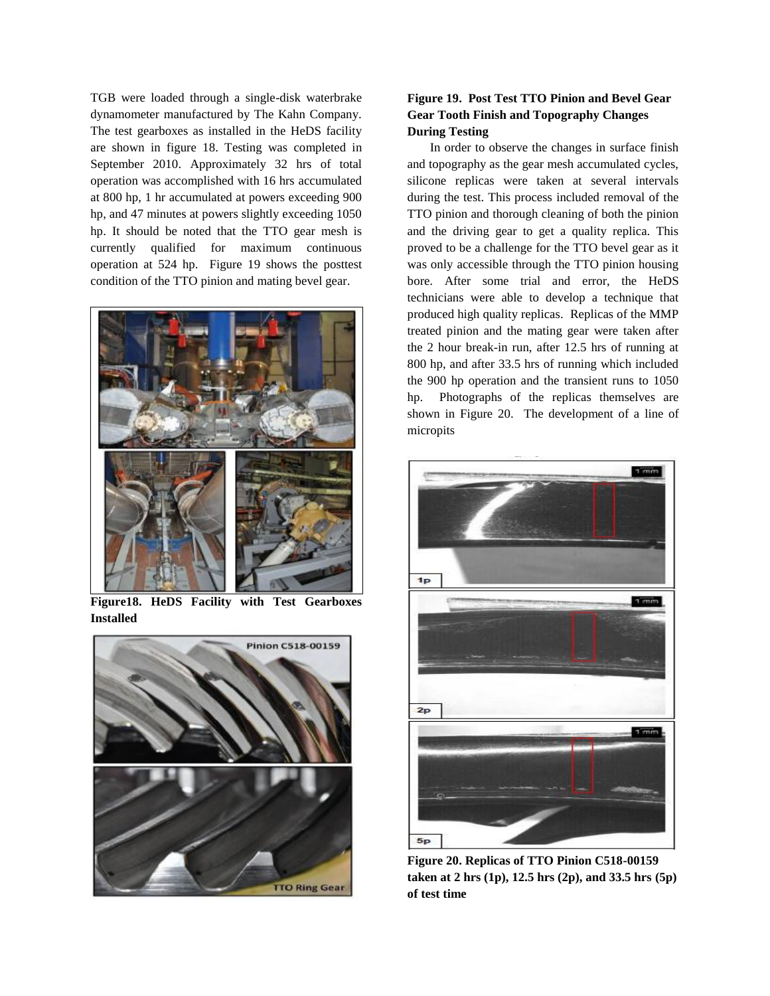TGB were loaded through a single-disk waterbrake dynamometer manufactured by The Kahn Company. The test gearboxes as installed in the HeDS facility are shown in figure 18. Testing was completed in September 2010. Approximately 32 hrs of total operation was accomplished with 16 hrs accumulated at 800 hp, 1 hr accumulated at powers exceeding 900 hp, and 47 minutes at powers slightly exceeding 1050 hp. It should be noted that the TTO gear mesh is currently qualified for maximum continuous operation at 524 hp. Figure 19 shows the posttest condition of the TTO pinion and mating bevel gear.



**Figure18. HeDS Facility with Test Gearboxes Installed**



# **Figure 19. Post Test TTO Pinion and Bevel Gear Gear Tooth Finish and Topography Changes During Testing**

In order to observe the changes in surface finish and topography as the gear mesh accumulated cycles, silicone replicas were taken at several intervals during the test. This process included removal of the TTO pinion and thorough cleaning of both the pinion and the driving gear to get a quality replica. This proved to be a challenge for the TTO bevel gear as it was only accessible through the TTO pinion housing bore. After some trial and error, the HeDS technicians were able to develop a technique that produced high quality replicas. Replicas of the MMP treated pinion and the mating gear were taken after the 2 hour break-in run, after 12.5 hrs of running at 800 hp, and after 33.5 hrs of running which included the 900 hp operation and the transient runs to 1050 hp. Photographs of the replicas themselves are shown in Figure 20. The development of a line of micropits



**Figure 20. Replicas of TTO Pinion C518-00159 taken at 2 hrs (1p), 12.5 hrs (2p), and 33.5 hrs (5p) of test time**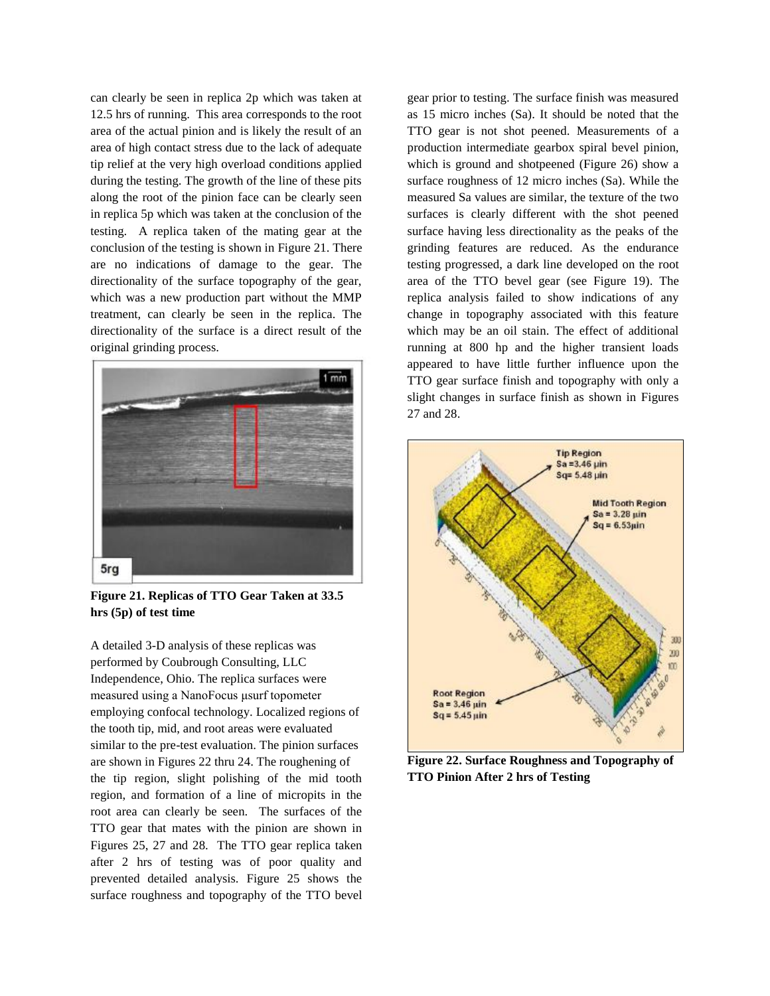can clearly be seen in replica 2p which was taken at 12.5 hrs of running. This area corresponds to the root area of the actual pinion and is likely the result of an area of high contact stress due to the lack of adequate tip relief at the very high overload conditions applied during the testing. The growth of the line of these pits along the root of the pinion face can be clearly seen in replica 5p which was taken at the conclusion of the testing. A replica taken of the mating gear at the conclusion of the testing is shown in Figure 21. There are no indications of damage to the gear. The directionality of the surface topography of the gear, which was a new production part without the MMP treatment, can clearly be seen in the replica. The directionality of the surface is a direct result of the original grinding process.



**Figure 21. Replicas of TTO Gear Taken at 33.5 hrs (5p) of test time**

A detailed 3-D analysis of these replicas was performed by Coubrough Consulting, LLC Independence, Ohio. The replica surfaces were measured using a NanoFocus μsurf topometer employing confocal technology. Localized regions of the tooth tip, mid, and root areas were evaluated similar to the pre-test evaluation. The pinion surfaces are shown in Figures 22 thru 24. The roughening of the tip region, slight polishing of the mid tooth region, and formation of a line of micropits in the root area can clearly be seen. The surfaces of the TTO gear that mates with the pinion are shown in Figures 25, 27 and 28. The TTO gear replica taken after 2 hrs of testing was of poor quality and prevented detailed analysis. Figure 25 shows the surface roughness and topography of the TTO bevel gear prior to testing. The surface finish was measured as 15 micro inches (Sa). It should be noted that the TTO gear is not shot peened. Measurements of a production intermediate gearbox spiral bevel pinion, which is ground and shotpeened (Figure 26) show a surface roughness of 12 micro inches (Sa). While the measured Sa values are similar, the texture of the two surfaces is clearly different with the shot peened surface having less directionality as the peaks of the grinding features are reduced. As the endurance testing progressed, a dark line developed on the root area of the TTO bevel gear (see Figure 19). The replica analysis failed to show indications of any change in topography associated with this feature which may be an oil stain. The effect of additional running at 800 hp and the higher transient loads appeared to have little further influence upon the TTO gear surface finish and topography with only a slight changes in surface finish as shown in Figures 27 and 28.



**Figure 22. Surface Roughness and Topography of TTO Pinion After 2 hrs of Testing**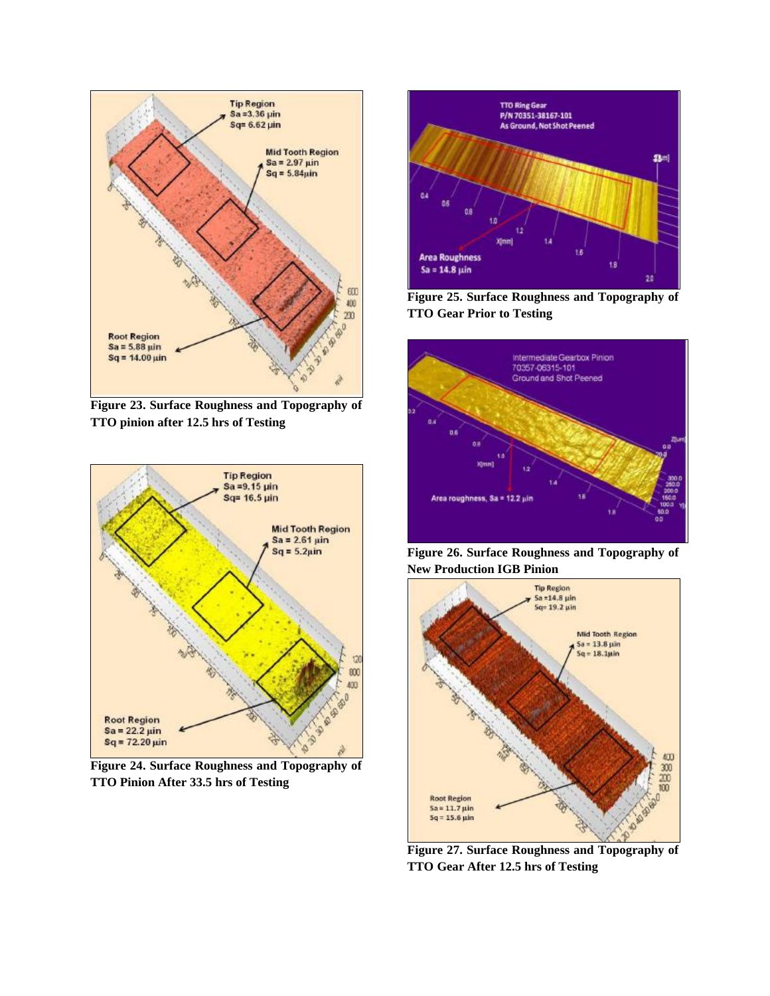

**Figure 23. Surface Roughness and Topography of TTO pinion after 12.5 hrs of Testing**



**Figure 24. Surface Roughness and Topography of TTO Pinion After 33.5 hrs of Testing**



**Figure 25. Surface Roughness and Topography of TTO Gear Prior to Testing**



**Figure 26. Surface Roughness and Topography of New Production IGB Pinion** 



**Figure 27. Surface Roughness and Topography of TTO Gear After 12.5 hrs of Testing**